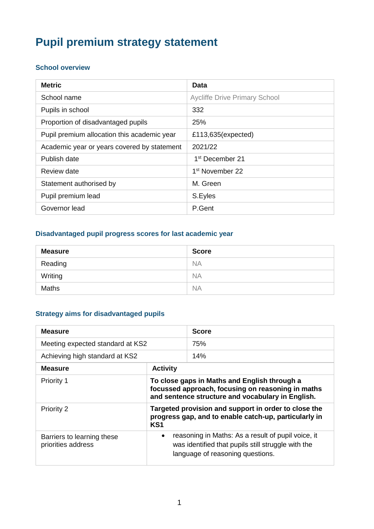# **Pupil premium strategy statement**

#### **School overview**

| <b>Metric</b>                               | Data                                 |
|---------------------------------------------|--------------------------------------|
| School name                                 | <b>Aycliffe Drive Primary School</b> |
| Pupils in school                            | 332                                  |
| Proportion of disadvantaged pupils          | 25%                                  |
| Pupil premium allocation this academic year | £113,635(expected)                   |
| Academic year or years covered by statement | 2021/22                              |
| Publish date                                | 1 <sup>st</sup> December 21          |
| Review date                                 | 1 <sup>st</sup> November 22          |
| Statement authorised by                     | M. Green                             |
| Pupil premium lead                          | S.Eyles                              |
| Governor lead                               | P.Gent                               |

## **Disadvantaged pupil progress scores for last academic year**

| <b>Measure</b> | <b>Score</b> |
|----------------|--------------|
| Reading        | <b>NA</b>    |
| Writing        | <b>NA</b>    |
| <b>Maths</b>   | <b>NA</b>    |

#### **Strategy aims for disadvantaged pupils**

| <b>Measure</b>                                   |                                                                                                                                                        | <b>Score</b>                                                                                                                                 |
|--------------------------------------------------|--------------------------------------------------------------------------------------------------------------------------------------------------------|----------------------------------------------------------------------------------------------------------------------------------------------|
| Meeting expected standard at KS2                 |                                                                                                                                                        | 75%                                                                                                                                          |
| Achieving high standard at KS2                   |                                                                                                                                                        | 14%                                                                                                                                          |
| <b>Measure</b>                                   | <b>Activity</b>                                                                                                                                        |                                                                                                                                              |
| Priority 1                                       | To close gaps in Maths and English through a<br>focussed approach, focusing on reasoning in maths<br>and sentence structure and vocabulary in English. |                                                                                                                                              |
| Priority 2                                       | Targeted provision and support in order to close the<br>progress gap, and to enable catch-up, particularly in<br>KS <sub>1</sub>                       |                                                                                                                                              |
| Barriers to learning these<br>priorities address | $\bullet$                                                                                                                                              | reasoning in Maths: As a result of pupil voice, it<br>was identified that pupils still struggle with the<br>language of reasoning questions. |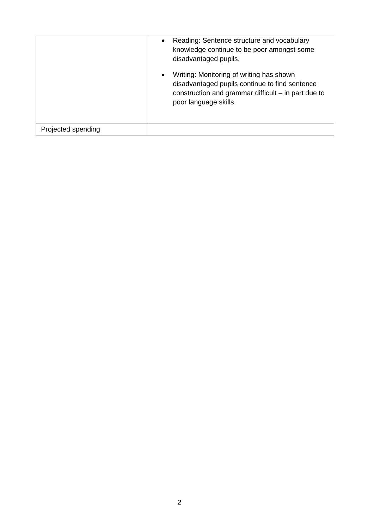|                    | Reading: Sentence structure and vocabulary<br>knowledge continue to be poor amongst some<br>disadvantaged pupils.                                                            |
|--------------------|------------------------------------------------------------------------------------------------------------------------------------------------------------------------------|
|                    | Writing: Monitoring of writing has shown<br>disadvantaged pupils continue to find sentence<br>construction and grammar difficult $-$ in part due to<br>poor language skills. |
| Projected spending |                                                                                                                                                                              |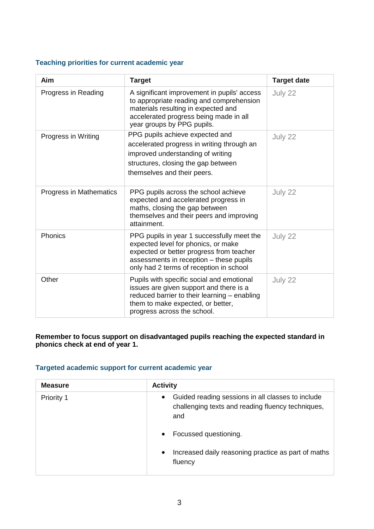#### **Teaching priorities for current academic year**

| Aim                     | <b>Target</b>                                                                                                                                                                                                       | <b>Target date</b> |
|-------------------------|---------------------------------------------------------------------------------------------------------------------------------------------------------------------------------------------------------------------|--------------------|
| Progress in Reading     | A significant improvement in pupils' access<br>to appropriate reading and comprehension<br>materials resulting in expected and<br>accelerated progress being made in all<br>year groups by PPG pupils.              | July 22            |
| Progress in Writing     | PPG pupils achieve expected and<br>accelerated progress in writing through an<br>improved understanding of writing<br>structures, closing the gap between<br>themselves and their peers.                            | July 22            |
| Progress in Mathematics | PPG pupils across the school achieve<br>expected and accelerated progress in<br>maths, closing the gap between<br>themselves and their peers and improving<br>attainment.                                           | July 22            |
| Phonics                 | PPG pupils in year 1 successfully meet the<br>expected level for phonics, or make<br>expected or better progress from teacher<br>assessments in reception - these pupils<br>only had 2 terms of reception in school | July 22            |
| Other                   | Pupils with specific social and emotional<br>issues are given support and there is a<br>reduced barrier to their learning - enabling<br>them to make expected, or better,<br>progress across the school.            | July 22            |

#### **Remember to focus support on disadvantaged pupils reaching the expected standard in phonics check at end of year 1.**

#### **Targeted academic support for current academic year**

| <b>Measure</b> | <b>Activity</b>                                                                                                            |
|----------------|----------------------------------------------------------------------------------------------------------------------------|
| Priority 1     | Guided reading sessions in all classes to include<br>$\bullet$<br>challenging texts and reading fluency techniques,<br>and |
|                | Focussed questioning.                                                                                                      |
|                | Increased daily reasoning practice as part of maths<br>fluency                                                             |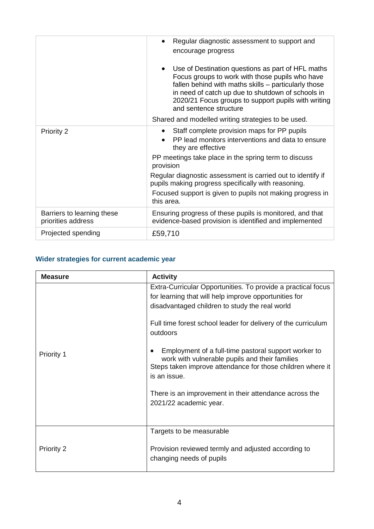|                                                  | Regular diagnostic assessment to support and<br>encourage progress                                                                                                                                                                                                                                 |  |
|--------------------------------------------------|----------------------------------------------------------------------------------------------------------------------------------------------------------------------------------------------------------------------------------------------------------------------------------------------------|--|
|                                                  | Use of Destination questions as part of HFL maths<br>Focus groups to work with those pupils who have<br>fallen behind with maths skills – particularly those<br>in need of catch up due to shutdown of schools in<br>2020/21 Focus groups to support pupils with writing<br>and sentence structure |  |
|                                                  | Shared and modelled writing strategies to be used.                                                                                                                                                                                                                                                 |  |
| Priority 2                                       | Staff complete provision maps for PP pupils<br>PP lead monitors interventions and data to ensure<br>they are effective                                                                                                                                                                             |  |
|                                                  | PP meetings take place in the spring term to discuss<br>provision                                                                                                                                                                                                                                  |  |
|                                                  | Regular diagnostic assessment is carried out to identify if<br>pupils making progress specifically with reasoning.                                                                                                                                                                                 |  |
|                                                  | Focused support is given to pupils not making progress in<br>this area.                                                                                                                                                                                                                            |  |
| Barriers to learning these<br>priorities address | Ensuring progress of these pupils is monitored, and that<br>evidence-based provision is identified and implemented                                                                                                                                                                                 |  |
| Projected spending                               | £59,710                                                                                                                                                                                                                                                                                            |  |

## **Wider strategies for current academic year**

| <b>Measure</b>    | <b>Activity</b>                                                                                                                                                                      |
|-------------------|--------------------------------------------------------------------------------------------------------------------------------------------------------------------------------------|
|                   | Extra-Curricular Opportunities. To provide a practical focus<br>for learning that will help improve opportunities for<br>disadvantaged children to study the real world              |
| <b>Priority 1</b> | Full time forest school leader for delivery of the curriculum<br>outdoors                                                                                                            |
|                   | Employment of a full-time pastoral support worker to<br>work with vulnerable pupils and their families<br>Steps taken improve attendance for those children where it<br>is an issue. |
|                   | There is an improvement in their attendance across the<br>2021/22 academic year.                                                                                                     |
|                   | Targets to be measurable                                                                                                                                                             |
| Priority 2        | Provision reviewed termly and adjusted according to<br>changing needs of pupils                                                                                                      |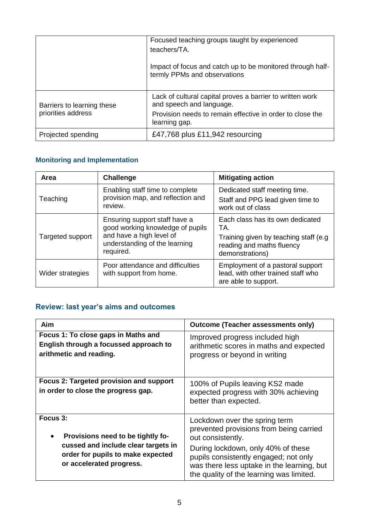|                                                  | Focused teaching groups taught by experienced<br>teachers/TA.                              |  |
|--------------------------------------------------|--------------------------------------------------------------------------------------------|--|
|                                                  | Impact of focus and catch up to be monitored through half-<br>termly PPMs and observations |  |
| Barriers to learning these<br>priorities address | Lack of cultural capital proves a barrier to written work<br>and speech and language.      |  |
|                                                  | Provision needs to remain effective in order to close the<br>learning gap.                 |  |
| Projected spending                               | £47,768 plus £11,942 resourcing                                                            |  |

# **Monitoring and Implementation**

| Area             | <b>Challenge</b>                                                                                                                            | <b>Mitigating action</b>                                                                                                          |
|------------------|---------------------------------------------------------------------------------------------------------------------------------------------|-----------------------------------------------------------------------------------------------------------------------------------|
| Teaching         | Enabling staff time to complete<br>provision map, and reflection and<br>review.                                                             | Dedicated staff meeting time.<br>Staff and PPG lead given time to<br>work out of class                                            |
| Targeted support | Ensuring support staff have a<br>good working knowledge of pupils<br>and have a high level of<br>understanding of the learning<br>required. | Each class has its own dedicated<br>TA.<br>Training given by teaching staff (e.g.<br>reading and maths fluency<br>demonstrations) |
| Wider strategies | Poor attendance and difficulties<br>with support from home.                                                                                 | Employment of a pastoral support<br>lead, with other trained staff who<br>are able to support.                                    |

# **Review: last year's aims and outcomes**

| Aim                                                                                                                                                   | <b>Outcome (Teacher assessments only)</b>                                                                                                                                                                                                                              |
|-------------------------------------------------------------------------------------------------------------------------------------------------------|------------------------------------------------------------------------------------------------------------------------------------------------------------------------------------------------------------------------------------------------------------------------|
| Focus 1: To close gaps in Maths and<br>English through a focussed approach to<br>arithmetic and reading.                                              | Improved progress included high<br>arithmetic scores in maths and expected<br>progress or beyond in writing                                                                                                                                                            |
| Focus 2: Targeted provision and support<br>in order to close the progress gap.                                                                        | 100% of Pupils leaving KS2 made<br>expected progress with 30% achieving<br>better than expected.                                                                                                                                                                       |
| Focus 3:<br>Provisions need to be tightly fo-<br>cussed and include clear targets in<br>order for pupils to make expected<br>or accelerated progress. | Lockdown over the spring term<br>prevented provisions from being carried<br>out consistently.<br>During lockdown, only 40% of these<br>pupils consistently engaged; not only<br>was there less uptake in the learning, but<br>the quality of the learning was limited. |